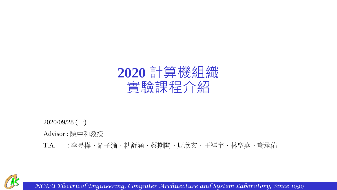

2020/09/28 (一)

Advisor : 陳中和教授

T.A. : 李昱樺、羅子渝、粘舒涵、蔡期開、周欣玄、王祥宇、林聖堯、謝承佑

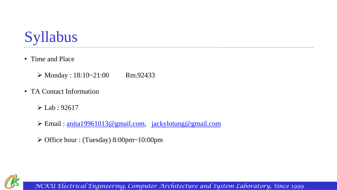

• Time and Place

 $\triangleright$  Monday : 18:10~21:00 Rm.92433

- TA Contact Information
	- $\triangleright$  Lab : 92617
	- ➢ Email : [anita19961013@gmail.com,](mailto:anita19961013@gmail.com) [jackylotung@gmail.com](mailto:jackylotung@gmail.com)
	- ➢ Office hour : (Tuesday) 8:00pm~10:00pm

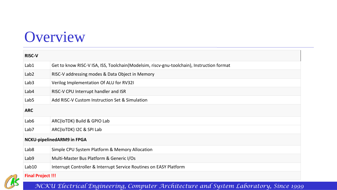# **Overview**

| <b>RISC-V</b>                     |                                                                                           |  |  |  |  |  |  |  |
|-----------------------------------|-------------------------------------------------------------------------------------------|--|--|--|--|--|--|--|
| Lab1                              | Get to know RISC-V ISA, ISS, Toolchain(Modelsim, riscv-gnu-toolchain), Instruction format |  |  |  |  |  |  |  |
| Lab <sub>2</sub>                  | RISC-V addressing modes & Data Object in Memory                                           |  |  |  |  |  |  |  |
| Lab <sub>3</sub>                  | Verilog Implementation Of ALU for RV32I                                                   |  |  |  |  |  |  |  |
| Lab4                              | RISC-V CPU Interrupt handler and ISR                                                      |  |  |  |  |  |  |  |
| Lab <sub>5</sub>                  | Add RISC-V Custom Instruction Set & Simulation                                            |  |  |  |  |  |  |  |
| <b>ARC</b>                        |                                                                                           |  |  |  |  |  |  |  |
| Lab <sub>6</sub>                  | ARC(IoTDK) Build & GPIO Lab                                                               |  |  |  |  |  |  |  |
| Lab <sub>7</sub>                  | ARC(IOTDK) I2C & SPI Lab                                                                  |  |  |  |  |  |  |  |
| <b>NCKU-pipelinedARM9 in FPGA</b> |                                                                                           |  |  |  |  |  |  |  |
| Lab <sub>8</sub>                  | Simple CPU System Platform & Memory Allocation                                            |  |  |  |  |  |  |  |
| Lab <sub>9</sub>                  | Multi-Master Bus Platform & Generic I/Os                                                  |  |  |  |  |  |  |  |
| Lab10                             | Interrupt Controller & Interrupt Service Routines on EASY Platform                        |  |  |  |  |  |  |  |
| <b>Final Project !!!</b>          |                                                                                           |  |  |  |  |  |  |  |

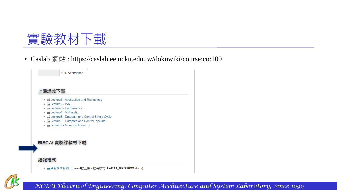

• Caslab 網站 : https://caslab.ee.ncku.edu.tw/dokuwiki/course:co:109



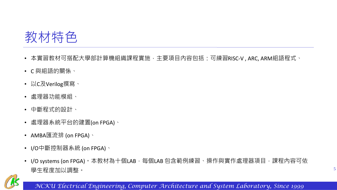

- 本實習教材可搭配大學部計算機組織課程實施,主要項目內容包括:可練習RISC-V , ARC, ARM組語程式、
- C 與組語的關係、
- 以C及Verilog撰寫、
- 處理器功能模組、
- 中斷程式的設計、
- 處理器系統平台的建置(on FPGA)、
- AMBA匯流排 (on FPGA)、
- I/O中斷控制器系統 (on FPGA)、
- I/O systems (on FPGA)。本教材為十個LAB,每個LAB 包含範例練習、操作與實作處理器項目,課程內容可依 學生程度加以調整。

5

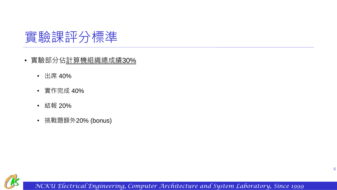

- 實驗部分佔計算機組織總成績30%
	- 出席 40%
	- 實作完成 40%
	- 結報 20%
	- 挑戰題額外20% (bonus)

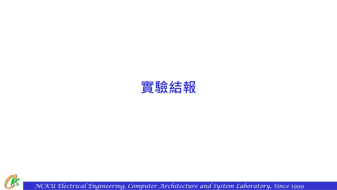

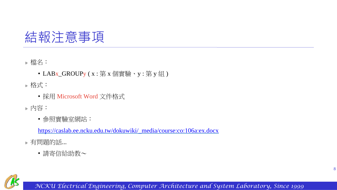## 結報注意事項

檔名:

- LABx\_GROUPy (x:第 x 個實驗、y:第 y 組)
- 格式:
	- 採用 Microsoft Word 文件格式
- 內容:
	- 參照實驗室網站:

[https://caslab.ee.ncku.edu.tw/dokuwiki/\\_media/course:co:106a:ex.docx](https://caslab.ee.ncku.edu.tw/dokuwiki/_media/course:co:106a:ex.docx)

有問題的話...

• 請寄信給助教~

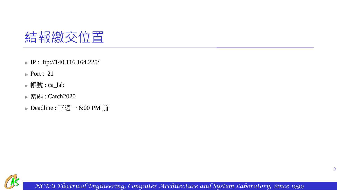

- IP : ftp://140.116.164.225/
- **Port : 21**
- 帳號: ca\_lab
- **▶ 密碼: Carch2020**
- Deadline : 下週一 6:00 PM 前

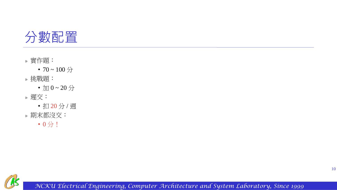

實作題:

• 70 ~ 100  $\frac{1}{2}$ 

挑戰題:

•  $\text{tr } 0 \sim 20$   $\overleftrightarrow{\rightarrow}$ 

遲交:

• 扣 20 分 / 週

期末都沒交:

• 0 分!

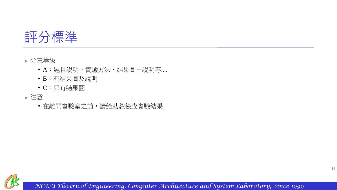

#### 分三等級

- A:題目說明、實驗方法、結果圖+說明等....
- B:有結果圖及說明
- C:只有結果圖

### 注意

• 在離開實驗室之前,請給助教檢查實驗結果

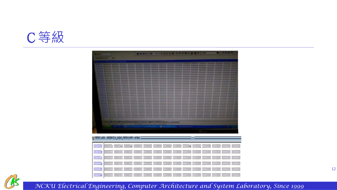

| <b>NORTH I</b><br><b>System of Acres</b>                   |          |                   |          |                                                                                                                                                                                                                                                                                                                                                                                                                                                                                                                                                                                                                                                                                                                                                                                                                                                                      | STREET OR THE RELEASE OF BEARING      |                                     |                |          |                            |          |          |             |         |
|------------------------------------------------------------|----------|-------------------|----------|----------------------------------------------------------------------------------------------------------------------------------------------------------------------------------------------------------------------------------------------------------------------------------------------------------------------------------------------------------------------------------------------------------------------------------------------------------------------------------------------------------------------------------------------------------------------------------------------------------------------------------------------------------------------------------------------------------------------------------------------------------------------------------------------------------------------------------------------------------------------|---------------------------------------|-------------------------------------|----------------|----------|----------------------------|----------|----------|-------------|---------|
|                                                            |          |                   |          | ო დიიღორი ბისტიდი ინწილია ისტიტის ლიტიითი იტიტირი ბიტტიტი იღრილებ ძვიბიბის დინტიტერისასას რასახსა დეტიბილ დ<br>especia oconomia ancesno ocanodo aconomo anceseda ocanodo conservo ancesedo proceso apartos ancesedo ancesedo ancesedo ancesedo anos<br>MARCHI DESCRETO POROCO DODOCO BODODO CONDOLO CONSUMO CONSUMO DESCRETO DE CONSUMO DE CONSUMO CONSUMO DODOCO POROCO DODOCO POROCO DODOCO DE CONSUMO DE SERVICIO DE SERVICIO DE SERVICIO DE SERVICIO DE SERVICIO DE SERVICIO DE S<br>mances acadados decorano apodeca capados pedeceda asocados oposobo apodeceo apodeceo apodeceo apodece apodeceo apodeceo apodeceo apodeceo apodeceo apodeceo apodeceo apodeceo apodeceo apodeceo apodeceo apodeceo apodeceo apo<br>E DISASSONO MODODOCO NOVODORO DODODORO DODODORO DODODORO DODODORO DODODORO DODODORO DODODORO DODODORO DODODORO MODODORO MODODORO DODODORO |                                       |                                     |                |          |                            |          |          |             |         |
|                                                            |          |                   |          | screen [25 Frient] [27 Im   25 Instances   62 West   52 Hencey   52 Hencey  nemark/Men                                                                                                                                                                                                                                                                                                                                                                                                                                                                                                                                                                                                                                                                                                                                                                               | Ma spa Maha das damba daulika makani. |                                     | ■ CASS-A (M/C) |          |                            |          |          | $E_{\rm c}$ |         |
|                                                            |          |                   |          |                                                                                                                                                                                                                                                                                                                                                                                                                                                                                                                                                                                                                                                                                                                                                                                                                                                                      |                                       |                                     |                |          |                            |          |          |             |         |
| by memory uata - restbench/u_output_memory/mem - uerault = |          |                   |          |                                                                                                                                                                                                                                                                                                                                                                                                                                                                                                                                                                                                                                                                                                                                                                                                                                                                      |                                       |                                     |                |          |                            |          |          |             |         |
| 00000000                                                   |          |                   |          |                                                                                                                                                                                                                                                                                                                                                                                                                                                                                                                                                                                                                                                                                                                                                                                                                                                                      |                                       |                                     |                |          |                            |          |          |             |         |
| 0000000e                                                   | 00000000 | 00000000          | 00000000 | 00000000                                                                                                                                                                                                                                                                                                                                                                                                                                                                                                                                                                                                                                                                                                                                                                                                                                                             |                                       | 00000000 00000000 00000000 00000000 |                |          | 00000000 00000000          | 00000000 |          |             |         |
| 0000001c                                                   | 00000000 | 00000000          | 00000000 | 00000000                                                                                                                                                                                                                                                                                                                                                                                                                                                                                                                                                                                                                                                                                                                                                                                                                                                             |                                       | 00000000 00000000 00000000 00000000 |                |          | 00000000 00000000          | 00000000 |          |             | 0000000 |
| 0000002a                                                   |          | 00000000 00000000 | 00000000 | 00000000                                                                                                                                                                                                                                                                                                                                                                                                                                                                                                                                                                                                                                                                                                                                                                                                                                                             |                                       | 00000000 00000000 00000000 00000000 |                | 00000000 | 00000000                   | 00000000 |          |             |         |
| 00000038                                                   | 00000000 | 00000000          | 00000000 |                                                                                                                                                                                                                                                                                                                                                                                                                                                                                                                                                                                                                                                                                                                                                                                                                                                                      |                                       |                                     |                |          | 00000000 00000000 00000000 |          | 00000000 |             | 0000000 |
| 00000046                                                   |          |                   |          |                                                                                                                                                                                                                                                                                                                                                                                                                                                                                                                                                                                                                                                                                                                                                                                                                                                                      |                                       |                                     |                |          |                            |          |          |             |         |



12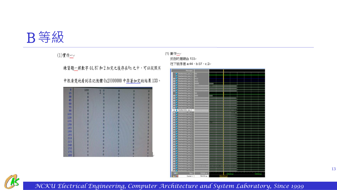## B等級

#### (1)實作二

練習題一將數字44,87和2加完之後存在約之中,可以從照片

中很清楚地看到在記憶體 0x20000000 中存著加完的結果133。

| O   | 133      | $\bf{0}$ | 0        | o        | $\bf{0}$ |
|-----|----------|----------|----------|----------|----------|
| 15  | $\bf{0}$ | $\bf{0}$ | 0        | O        | O        |
| 30  | $\bf{0}$ | O        |          | 0        | O        |
| 45  | 0        |          | O        | ō        | O        |
| 60  | $\bf{0}$ | Ω        | ō        | o        | O        |
| 75  | 0        | O        | O        | $\bf{0}$ | 0        |
| 90  | o        |          |          | o        | 0        |
| 105 | O        | $\bf{0}$ | 0        | 0        | 0        |
| 120 | o        | $\bf{0}$ | $\bf{0}$ | o        | o        |
| 135 | O        | 0        | 0        | 0        | $\alpha$ |
| 150 | O        | 0        | o        | O        | o        |
| 165 | O        | 0        | 0        | O        | o        |
| 180 | o        | 0        | n        | O        | O        |
| 195 | O        | O        |          | $\bf{0}$ | 0        |
| 210 | Ō        | Ũ        | O        | $\bf{0}$ | o        |
| 225 | 0        | 0        | 0        | O        | o        |
| 240 | O        | O        | Ω        | $\bf{0}$ | 0        |
| 255 | O        | ō        |          | $\bf{0}$ | O        |
| 270 | n        | Ö        | Ω        | O        | 0        |
| 285 | Ō        | O        |          | O        | O        |
|     |          |          |          | ۰        | n        |

#### (1) 實作 反白的是總合 133₽ 往下依序是 a:44、b:87、c:2+



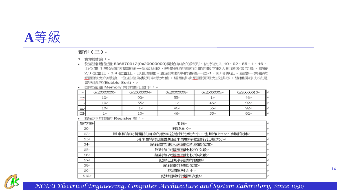

實作(三)。

- 1. 實驗討論: ↓
- 從記憶體位置 536870912(0x20000000)開始存放的陣列,依序放入 10、92、55、1、46。 由位置1開始每次都跟後一位做比較,若是排在前面位置的數字較大則跟後者互換,接著 2,3 位置比,3,4 位置比,以此類推。直到未排序的最後一位-1,即可停止。這麼一來每次 迴圈做完的最後一位必定為數列中最大值,經過多次迴圈便可完成排序,這種排序方法是 冒泡排序(Bubble Sort)。↩

• 四次迴圈 Memory 内容變化如下: +

| 47                            | 0x20000000e     | 0x20000004e | 0x20000008e | 0x2000000c+ | 0x20000010e |
|-------------------------------|-----------------|-------------|-------------|-------------|-------------|
| $-$<br><b>SAMA</b>            | 10₽             | $92 -$      | 55₽         |             | 46₽         |
|                               | 10₽             | 55₽         |             | 46e         | $92$ e      |
| $\overline{\phantom{a}}$<br>— | 10 <sup>°</sup> |             | 46₽         | 55€         | $92$ e      |
| 四年                            |                 | $10 -$      | 46₽         | 55e         | $92 -$      |

• 程式中用到的 Register 有: +

| 暫存器          | 用途↩                                   | $\leftrightarrow$ |
|--------------|---------------------------------------|-------------------|
| \$0₽         | 預設為0₽                                 | l+ <sup>3</sup>   |
| \$2₽         | 用來暫存記憶體抓回來的數字並進行比較大小,也用作 branch 判斷依據。 | ↩                 |
| \$3€         | 用來暫存記憶體抓回來的數字並進行比較大小↩                 | 447               |
| \$4₽         | 紀錄每次進入迴圈欲抓取的位置。                       | $+^7$             |
| \$5₽         | 控制每次迴圈應比較的次數。                         | ته                |
| \$6₽         | 控制每次迴圈應比較的次數。                         | ⊏ي⊿ا              |
| $$7\degree$  | 紀錄已排序完成的個數↩                           | $\leftrightarrow$ |
| \$8₽         | 紀錄陣列初始位置↩                             | l⊬                |
| \$90         | 紀錄陣列大小↩                               | ĿР                |
| $$10\degree$ | 紀錄應執行迴圈次數↩                            | l₽                |
|              |                                       |                   |